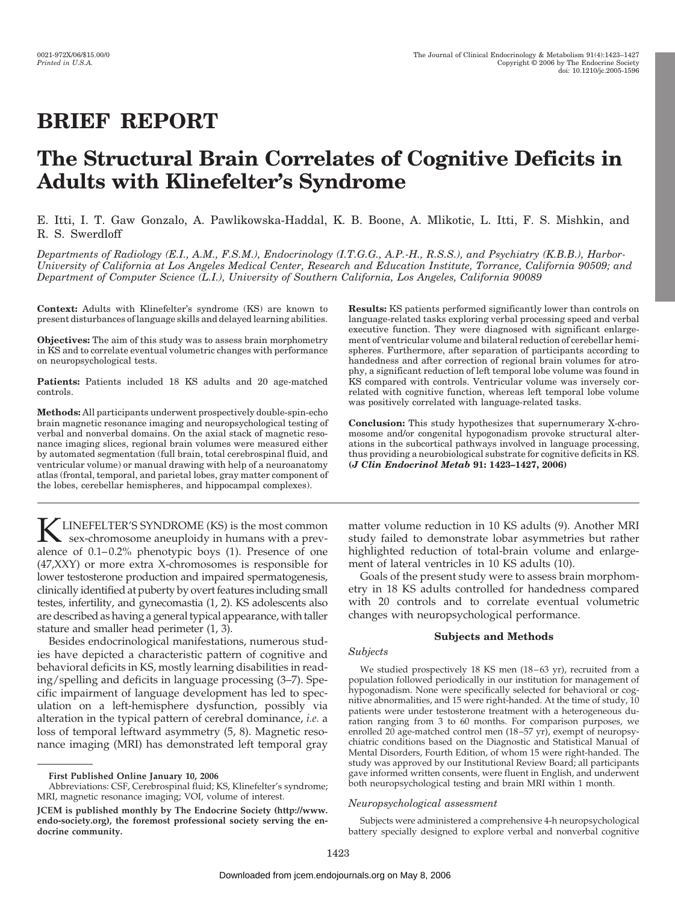# **BRIEF REPORT**

## **The Structural Brain Correlates of Cognitive Deficits in Adults with Klinefelter's Syndrome**

E. Itti, I. T. Gaw Gonzalo, A. Pawlikowska-Haddal, K. B. Boone, A. Mlikotic, L. Itti, F. S. Mishkin, and R. S. Swerdloff

*Departments of Radiology (E.I., A.M., F.S.M.), Endocrinology (I.T.G.G., A.P.-H., R.S.S.), and Psychiatry (K.B.B.), Harbor-University of California at Los Angeles Medical Center, Research and Education Institute, Torrance, California 90509; and Department of Computer Science (L.I.), University of Southern California, Los Angeles, California 90089*

**Context:** Adults with Klinefelter's syndrome (KS) are known to present disturbances of language skills and delayed learning abilities.

**Objectives:** The aim of this study was to assess brain morphometry in KS and to correlate eventual volumetric changes with performance on neuropsychological tests.

**Patients:** Patients included 18 KS adults and 20 age-matched controls.

**Methods:** All participants underwent prospectively double-spin-echo brain magnetic resonance imaging and neuropsychological testing of verbal and nonverbal domains. On the axial stack of magnetic resonance imaging slices, regional brain volumes were measured either by automated segmentation (full brain, total cerebrospinal fluid, and ventricular volume) or manual drawing with help of a neuroanatomy atlas (frontal, temporal, and parietal lobes, gray matter component of the lobes, cerebellar hemispheres, and hippocampal complexes).

KLINEFELTER'S SYNDROME (KS) is the most common sex-chromosome aneuploidy in humans with a prevalence of  $0.1-0.2\%$  phenotypic boys  $(1)$ . Presence of one (47,XXY) or more extra X-chromosomes is responsible for lower testosterone production and impaired spermatogenesis, clinically identified at puberty by overt features including small testes, infertility, and gynecomastia (1, 2). KS adolescents also are described as having a general typical appearance, with taller stature and smaller head perimeter (1, 3).

Besides endocrinological manifestations, numerous studies have depicted a characteristic pattern of cognitive and behavioral deficits in KS, mostly learning disabilities in reading/spelling and deficits in language processing (3–7). Specific impairment of language development has led to speculation on a left-hemisphere dysfunction, possibly via alteration in the typical pattern of cerebral dominance, *i.e.* a loss of temporal leftward asymmetry (5, 8). Magnetic resonance imaging (MRI) has demonstrated left temporal gray

Abbreviations: CSF, Cerebrospinal fluid; KS, Klinefelter's syndrome; MRI, magnetic resonance imaging; VOI, volume of interest.

**Results:** KS patients performed significantly lower than controls on language-related tasks exploring verbal processing speed and verbal executive function. They were diagnosed with significant enlargement of ventricular volume and bilateral reduction of cerebellar hemispheres. Furthermore, after separation of participants according to handedness and after correction of regional brain volumes for atrophy, a significant reduction of left temporal lobe volume was found in KS compared with controls. Ventricular volume was inversely correlated with cognitive function, whereas left temporal lobe volume was positively correlated with language-related tasks.

**Conclusion:** This study hypothesizes that supernumerary X-chromosome and/or congenital hypogonadism provoke structural alterations in the subcortical pathways involved in language processing, thus providing a neurobiological substrate for cognitive deficits in KS. **(***J Clin Endocrinol Metab* **91: 1423–1427, 2006)**

matter volume reduction in 10 KS adults (9). Another MRI study failed to demonstrate lobar asymmetries but rather highlighted reduction of total-brain volume and enlargement of lateral ventricles in 10 KS adults (10).

Goals of the present study were to assess brain morphometry in 18 KS adults controlled for handedness compared with 20 controls and to correlate eventual volumetric changes with neuropsychological performance.

## **Subjects and Methods**

## *Subjects*

We studied prospectively 18 KS men (18-63 yr), recruited from a population followed periodically in our institution for management of hypogonadism. None were specifically selected for behavioral or cognitive abnormalities, and 15 were right-handed. At the time of study, 10 patients were under testosterone treatment with a heterogeneous duration ranging from 3 to 60 months. For comparison purposes, we enrolled  $20$  age-matched control men  $(18-57 \text{ yr})$ , exempt of neuropsychiatric conditions based on the Diagnostic and Statistical Manual of Mental Disorders, Fourth Edition, of whom 15 were right-handed. The study was approved by our Institutional Review Board; all participants gave informed written consents, were fluent in English, and underwent both neuropsychological testing and brain MRI within 1 month.

## *Neuropsychological assessment*

Subjects were administered a comprehensive 4-h neuropsychological battery specially designed to explore verbal and nonverbal cognitive

**First Published Online January 10, 2006**

**JCEM is published monthly by The Endocrine Society (http://www. endo-society.org), the foremost professional society serving the endocrine community.**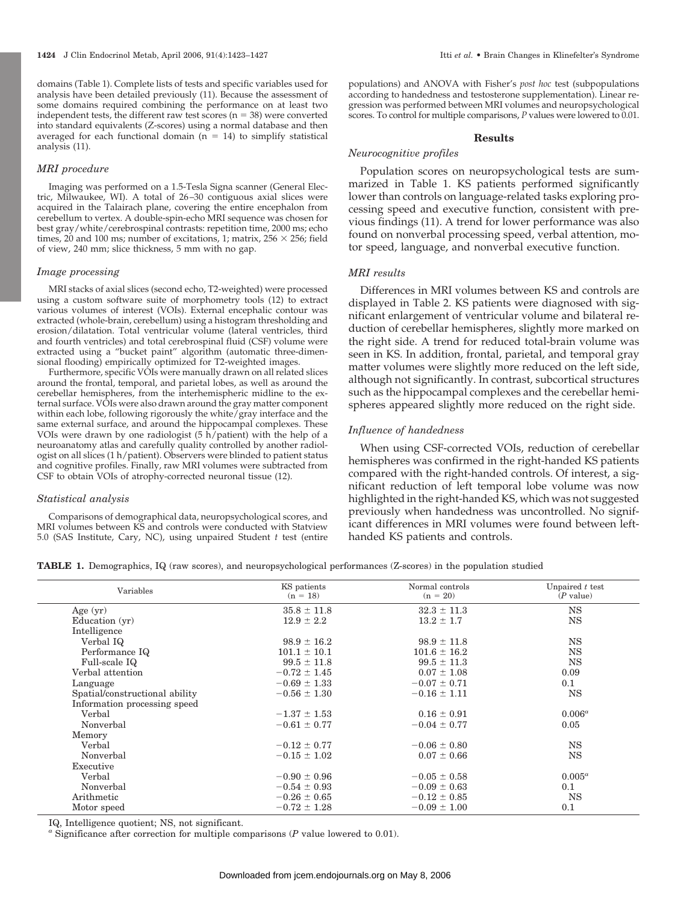domains (Table 1). Complete lists of tests and specific variables used for analysis have been detailed previously (11). Because the assessment of some domains required combining the performance on at least two independent tests, the different raw test scores ( $n = 38$ ) were converted into standard equivalents (Z-scores) using a normal database and then averaged for each functional domain ( $n = 14$ ) to simplify statistical analysis (11).

#### *MRI procedure*

Imaging was performed on a 1.5-Tesla Signa scanner (General Electric, Milwaukee, WI). A total of 26 –30 contiguous axial slices were acquired in the Talairach plane, covering the entire encephalon from cerebellum to vertex. A double-spin-echo MRI sequence was chosen for best gray/white/cerebrospinal contrasts: repetition time, 2000 ms; echo times, 20 and 100 ms; number of excitations, 1; matrix,  $256 \times 256$ ; field of view, 240 mm; slice thickness, 5 mm with no gap.

#### *Image processing*

MRI stacks of axial slices (second echo, T2-weighted) were processed using a custom software suite of morphometry tools (12) to extract various volumes of interest (VOIs). External encephalic contour was extracted (whole-brain, cerebellum) using a histogram thresholding and erosion/dilatation. Total ventricular volume (lateral ventricles, third and fourth ventricles) and total cerebrospinal fluid (CSF) volume were extracted using a "bucket paint" algorithm (automatic three-dimensional flooding) empirically optimized for T2-weighted images.

Furthermore, specific VOIs were manually drawn on all related slices around the frontal, temporal, and parietal lobes, as well as around the cerebellar hemispheres, from the interhemispheric midline to the external surface. VOIs were also drawn around the gray matter component within each lobe, following rigorously the white/gray interface and the same external surface, and around the hippocampal complexes. These VOIs were drawn by one radiologist (5 h/patient) with the help of a neuroanatomy atlas and carefully quality controlled by another radiologist on all slices (1 h/patient). Observers were blinded to patient status and cognitive profiles. Finally, raw MRI volumes were subtracted from CSF to obtain VOIs of atrophy-corrected neuronal tissue (12).

#### *Statistical analysis*

Comparisons of demographical data, neuropsychological scores, and MRI volumes between KS and controls were conducted with Statview 5.0 (SAS Institute, Cary, NC), using unpaired Student *t* test (entire

populations) and ANOVA with Fisher's *post hoc* test (subpopulations according to handedness and testosterone supplementation). Linear regression was performed between MRI volumes and neuropsychological scores. To control for multiple comparisons, *P* values were lowered to 0.01.

#### **Results**

#### *Neurocognitive profiles*

Population scores on neuropsychological tests are summarized in Table 1. KS patients performed significantly lower than controls on language-related tasks exploring processing speed and executive function, consistent with previous findings (11). A trend for lower performance was also found on nonverbal processing speed, verbal attention, motor speed, language, and nonverbal executive function.

### *MRI results*

Differences in MRI volumes between KS and controls are displayed in Table 2. KS patients were diagnosed with significant enlargement of ventricular volume and bilateral reduction of cerebellar hemispheres, slightly more marked on the right side. A trend for reduced total-brain volume was seen in KS. In addition, frontal, parietal, and temporal gray matter volumes were slightly more reduced on the left side, although not significantly. In contrast, subcortical structures such as the hippocampal complexes and the cerebellar hemispheres appeared slightly more reduced on the right side.

#### *Influence of handedness*

When using CSF-corrected VOIs, reduction of cerebellar hemispheres was confirmed in the right-handed KS patients compared with the right-handed controls. Of interest, a significant reduction of left temporal lobe volume was now highlighted in the right-handed KS, which was not suggested previously when handedness was uncontrolled. No significant differences in MRI volumes were found between lefthanded KS patients and controls.

**TABLE 1.** Demographics, IQ (raw scores), and neuropsychological performances (Z-scores) in the population studied

| Variables                      | KS patients<br>$(n = 18)$ | Normal controls<br>$(n = 20)$ | Unpaired t test<br>$(P$ value) |
|--------------------------------|---------------------------|-------------------------------|--------------------------------|
| Age $(yr)$                     | $35.8 \pm 11.8$           | $32.3 \pm 11.3$               | <b>NS</b>                      |
| Education (yr)                 | $12.9 \pm 2.2$            | $13.2 \pm 1.7$                | NS                             |
| Intelligence                   |                           |                               |                                |
| Verbal IQ                      | $98.9 \pm 16.2$           | $98.9 \pm 11.8$               | <b>NS</b>                      |
| Performance IQ                 | $101.1 \pm 10.1$          | $101.6 \pm 16.2$              | <b>NS</b>                      |
| Full-scale IQ                  | $99.5 \pm 11.8$           | $99.5 \pm 11.3$               | <b>NS</b>                      |
| Verbal attention               | $-0.72 \pm 1.45$          | $0.07 \pm 1.08$               | 0.09                           |
| Language                       | $-0.69 \pm 1.33$          | $-0.07 \pm 0.71$              | 0.1                            |
| Spatial/constructional ability | $-0.56 \pm 1.30$          | $-0.16 \pm 1.11$              | <b>NS</b>                      |
| Information processing speed   |                           |                               |                                |
| Verbal                         | $-1.37 \pm 1.53$          | $0.16 \pm 0.91$               | $0.006^a$                      |
| Nonverbal                      | $-0.61 \pm 0.77$          | $-0.04 \pm 0.77$              | 0.05                           |
| Memory                         |                           |                               |                                |
| Verbal                         | $-0.12 \pm 0.77$          | $-0.06 \pm 0.80$              | <b>NS</b>                      |
| Nonverbal                      | $-0.15 \pm 1.02$          | $0.07 \pm 0.66$               | <b>NS</b>                      |
| Executive                      |                           |                               |                                |
| Verbal                         | $-0.90 \pm 0.96$          | $-0.05 \pm 0.58$              | $0.005^{\alpha}$               |
| Nonverbal                      | $-0.54 \pm 0.93$          | $-0.09 \pm 0.63$              | 0.1                            |
| Arithmetic                     | $-0.26 \pm 0.65$          | $-0.12 \pm 0.85$              | <b>NS</b>                      |
| Motor speed                    | $-0.72 \pm 1.28$          | $-0.09 \pm 1.00$              | 0.1                            |

IQ, Intelligence quotient; NS, not significant.

*<sup>a</sup>* Significance after correction for multiple comparisons (*P* value lowered to 0.01).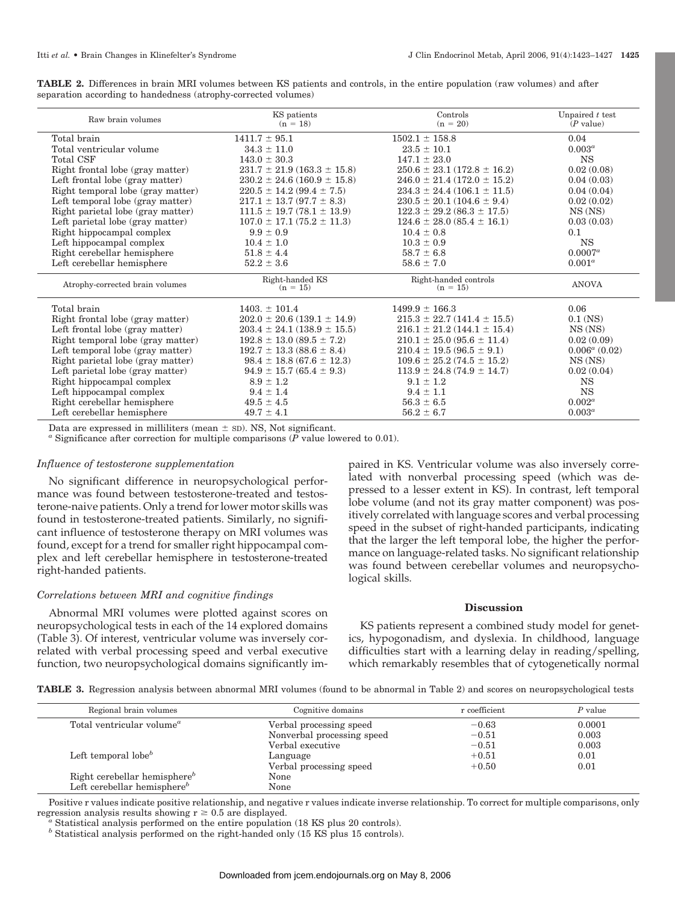| <b>TABLE 2.</b> Differences in brain MRI volumes between KS patients and controls, in the entire population (raw volumes) and after |  |  |  |  |  |  |  |  |
|-------------------------------------------------------------------------------------------------------------------------------------|--|--|--|--|--|--|--|--|
| separation according to handedness (atrophy-corrected volumes)                                                                      |  |  |  |  |  |  |  |  |

| Raw brain volumes                 | KS patients<br>$(n = 18)$           | Controls<br>$(n = 20)$                  | Unpaired $t$ test<br>$(P$ value) |
|-----------------------------------|-------------------------------------|-----------------------------------------|----------------------------------|
| Total brain                       | $1411.7 \pm 95.1$                   | $1502.1 \pm 158.8$                      | 0.04                             |
| Total ventricular volume          | $34.3 \pm 11.0$                     | $23.5 \pm 10.1$                         | $0.003^a$                        |
| <b>Total CSF</b>                  | $143.0 \pm 30.3$                    | $147.1 \pm 23.0$                        | <b>NS</b>                        |
| Right frontal lobe (gray matter)  | $231.7 \pm 21.9$ (163.3 $\pm$ 15.8) | $250.6 \pm 23.1 (172.8 \pm 16.2)$       | 0.02(0.08)                       |
| Left frontal lobe (gray matter)   | $230.2 \pm 24.6$ (160.9 $\pm$ 15.8) | $246.0 \pm 21.4(172.0 \pm 15.2)$        | 0.04(0.03)                       |
| Right temporal lobe (gray matter) | $220.5 \pm 14.2$ (99.4 $\pm$ 7.5)   | $234.3 \pm 24.4 \cdot (106.1 \pm 11.5)$ | 0.04(0.04)                       |
| Left temporal lobe (gray matter)  | $217.1 \pm 13.7 (97.7 \pm 8.3)$     | $230.5 \pm 20.1 (104.6 \pm 9.4)$        | 0.02(0.02)                       |
| Right parietal lobe (gray matter) | $111.5 \pm 19.7 (78.1 \pm 13.9)$    | $122.3 \pm 29.2$ (86.3 $\pm$ 17.5)      | $NS$ (NS)                        |
| Left parietal lobe (gray matter)  | $107.0 \pm 17.1 (75.2 \pm 11.3)$    | $124.6 \pm 28.0$ (85.4 $\pm$ 16.1)      | 0.03(0.03)                       |
| Right hippocampal complex         | $9.9 \pm 0.9$                       | $10.4 \pm 0.8$                          | 0.1                              |
| Left hippocampal complex          | $10.4 \pm 1.0$                      | $10.3 \pm 0.9$                          | <b>NS</b>                        |
| Right cerebellar hemisphere       | $51.8 \pm 4.4$                      | $58.7 \pm 6.8$                          | $0.0007^{a}$                     |
| Left cerebellar hemisphere        | $52.2 \pm 3.6$                      | $58.6 \pm 7.0$                          | $0.001^a$                        |
| Atrophy-corrected brain volumes   | Right-handed KS<br>$(n = 15)$       | Right-handed controls<br>$(n = 15)$     | <b>ANOVA</b>                     |
| Total brain                       | $1403. \pm 101.4$                   | $1499.9 \pm 166.3$                      | 0.06                             |
| Right frontal lobe (gray matter)  | $202.0 \pm 20.6$ (139.1 $\pm$ 14.9) | $215.3 \pm 22.7 \, (141.4 \pm 15.5)$    | $0.1$ (NS)                       |
| Left frontal lobe (gray matter)   | $203.4 \pm 24.1 (138.9 \pm 15.5)$   | $216.1 \pm 21.2$ (144.1 $\pm$ 15.4)     | $NS$ $(NS)$                      |
| Right temporal lobe (gray matter) | $192.8 \pm 13.0$ (89.5 $\pm$ 7.2)   | $210.1 \pm 25.0$ (95.6 $\pm$ 11.4)      | 0.02(0.09)                       |
| Left temporal lobe (gray matter)  | $192.7 \pm 13.3$ (88.6 $\pm$ 8.4)   | $210.4 \pm 19.5 (96.5 \pm 9.1)$         | $0.006^a(0.02)$                  |
| Right parietal lobe (gray matter) | $98.4 \pm 18.8$ (67.6 $\pm$ 12.3)   | $109.6 \pm 25.2$ (74.5 $\pm$ 15.2)      | $NS$ $(NS)$                      |
| Left parietal lobe (gray matter)  | $94.9 \pm 15.7$ (65.4 $\pm$ 9.3)    | $113.9 \pm 24.8(74.9 \pm 14.7)$         | 0.02(0.04)                       |
| Right hippocampal complex         | $8.9 \pm 1.2$                       | $9.1 \pm 1.2$                           | <b>NS</b>                        |
| Left hippocampal complex          | $9.4 \pm 1.4$                       | $9.4 \pm 1.1$                           | <b>NS</b>                        |
| Right cerebellar hemisphere       | $49.5 \pm 4.5$                      | $56.3 \pm 6.5$                          | $0.002^a$                        |
| Left cerebellar hemisphere        | $49.7 \pm 4.1$                      | $56.2 \pm 6.7$                          | $0.003^{a}$                      |

Data are expressed in milliliters (mean  $\pm$  sD). NS, Not significant. *a* Significance after correction for multiple comparisons (*P* value lowered to 0.01).

#### *Influence of testosterone supplementation*

No significant difference in neuropsychological performance was found between testosterone-treated and testosterone-naive patients. Only a trend for lower motor skills was found in testosterone-treated patients. Similarly, no significant influence of testosterone therapy on MRI volumes was found, except for a trend for smaller right hippocampal complex and left cerebellar hemisphere in testosterone-treated right-handed patients.

#### *Correlations between MRI and cognitive findings*

Abnormal MRI volumes were plotted against scores on neuropsychological tests in each of the 14 explored domains (Table 3). Of interest, ventricular volume was inversely correlated with verbal processing speed and verbal executive function, two neuropsychological domains significantly impaired in KS. Ventricular volume was also inversely correlated with nonverbal processing speed (which was depressed to a lesser extent in KS). In contrast, left temporal lobe volume (and not its gray matter component) was positively correlated with language scores and verbal processing speed in the subset of right-handed participants, indicating that the larger the left temporal lobe, the higher the performance on language-related tasks. No significant relationship was found between cerebellar volumes and neuropsychological skills.

## **Discussion**

KS patients represent a combined study model for genetics, hypogonadism, and dyslexia. In childhood, language difficulties start with a learning delay in reading/spelling, which remarkably resembles that of cytogenetically normal

**TABLE 3.** Regression analysis between abnormal MRI volumes (found to be abnormal in Table 2) and scores on neuropsychological tests

| Regional brain volumes                       | Cognitive domains          | r coefficient | P value |  |  |
|----------------------------------------------|----------------------------|---------------|---------|--|--|
| Total ventricular volume <sup><i>a</i></sup> | Verbal processing speed    | $-0.63$       | 0.0001  |  |  |
|                                              | Nonverbal processing speed | $-0.51$       | 0.003   |  |  |
|                                              | Verbal executive           | $-0.51$       | 0.003   |  |  |
| Left temporal $lobeb$                        | Language                   | $+0.51$       | 0.01    |  |  |
|                                              | Verbal processing speed    | $+0.50$       | 0.01    |  |  |
| Right cerebellar hemisphere <sup>b</sup>     | None                       |               |         |  |  |
| Left cerebellar hemisphere <sup>b</sup>      | None                       |               |         |  |  |

Positive r values indicate positive relationship, and negative r values indicate inverse relationship. To correct for multiple comparisons, only regression analysis results showing  $r \geq 0.5$  are displayed.<br><sup>*a*</sup> Statistical analysis performed on the entire population (18 KS plus 20 controls).

*b* Statistical analysis performed on the right-handed only (15 KS plus 15 controls).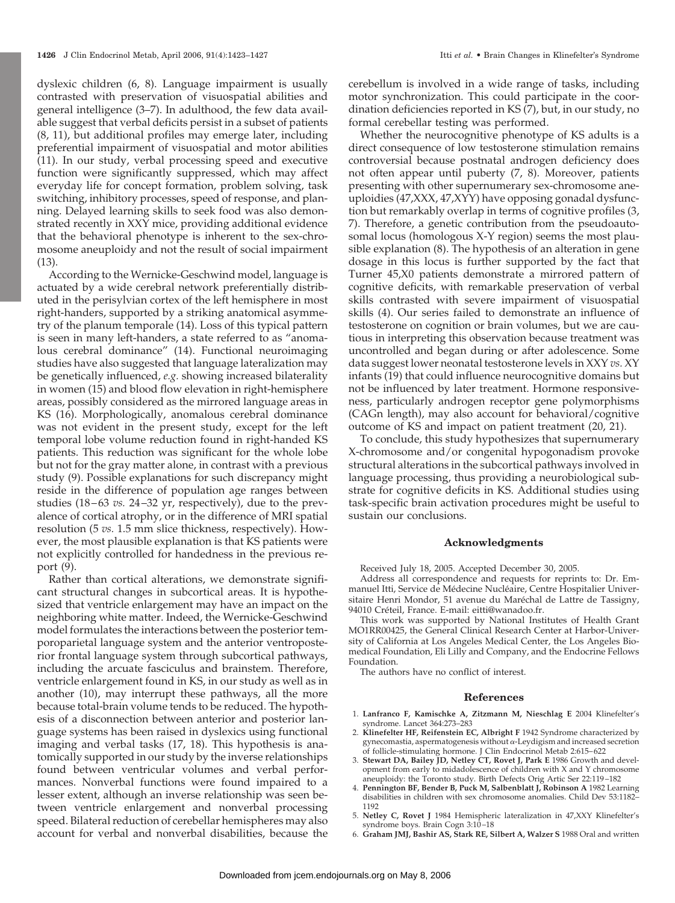dyslexic children (6, 8). Language impairment is usually contrasted with preservation of visuospatial abilities and general intelligence (3–7). In adulthood, the few data available suggest that verbal deficits persist in a subset of patients (8, 11), but additional profiles may emerge later, including preferential impairment of visuospatial and motor abilities (11). In our study, verbal processing speed and executive function were significantly suppressed, which may affect everyday life for concept formation, problem solving, task switching, inhibitory processes, speed of response, and planning. Delayed learning skills to seek food was also demonstrated recently in XXY mice, providing additional evidence that the behavioral phenotype is inherent to the sex-chromosome aneuploidy and not the result of social impairment (13).

According to the Wernicke-Geschwind model, language is actuated by a wide cerebral network preferentially distributed in the perisylvian cortex of the left hemisphere in most right-handers, supported by a striking anatomical asymmetry of the planum temporale (14). Loss of this typical pattern is seen in many left-handers, a state referred to as "anomalous cerebral dominance" (14). Functional neuroimaging studies have also suggested that language lateralization may be genetically influenced, *e.g.* showing increased bilaterality in women (15) and blood flow elevation in right-hemisphere areas, possibly considered as the mirrored language areas in KS (16). Morphologically, anomalous cerebral dominance was not evident in the present study, except for the left temporal lobe volume reduction found in right-handed KS patients. This reduction was significant for the whole lobe but not for the gray matter alone, in contrast with a previous study (9). Possible explanations for such discrepancy might reside in the difference of population age ranges between studies (18–63 *vs.* 24–32 yr, respectively), due to the prevalence of cortical atrophy, or in the difference of MRI spatial resolution (5 *vs.* 1.5 mm slice thickness, respectively). However, the most plausible explanation is that KS patients were not explicitly controlled for handedness in the previous report (9).

Rather than cortical alterations, we demonstrate significant structural changes in subcortical areas. It is hypothesized that ventricle enlargement may have an impact on the neighboring white matter. Indeed, the Wernicke-Geschwind model formulates the interactions between the posterior temporoparietal language system and the anterior ventroposterior frontal language system through subcortical pathways, including the arcuate fasciculus and brainstem. Therefore, ventricle enlargement found in KS, in our study as well as in another (10), may interrupt these pathways, all the more because total-brain volume tends to be reduced. The hypothesis of a disconnection between anterior and posterior language systems has been raised in dyslexics using functional imaging and verbal tasks (17, 18). This hypothesis is anatomically supported in our study by the inverse relationships found between ventricular volumes and verbal performances. Nonverbal functions were found impaired to a lesser extent, although an inverse relationship was seen between ventricle enlargement and nonverbal processing speed. Bilateral reduction of cerebellar hemispheres may also account for verbal and nonverbal disabilities, because the cerebellum is involved in a wide range of tasks, including motor synchronization. This could participate in the coordination deficiencies reported in KS (7), but, in our study, no formal cerebellar testing was performed.

Whether the neurocognitive phenotype of KS adults is a direct consequence of low testosterone stimulation remains controversial because postnatal androgen deficiency does not often appear until puberty (7, 8). Moreover, patients presenting with other supernumerary sex-chromosome aneuploidies (47,XXX, 47,XYY) have opposing gonadal dysfunction but remarkably overlap in terms of cognitive profiles (3, 7). Therefore, a genetic contribution from the pseudoautosomal locus (homologous X-Y region) seems the most plausible explanation (8). The hypothesis of an alteration in gene dosage in this locus is further supported by the fact that Turner 45,X0 patients demonstrate a mirrored pattern of cognitive deficits, with remarkable preservation of verbal skills contrasted with severe impairment of visuospatial skills (4). Our series failed to demonstrate an influence of testosterone on cognition or brain volumes, but we are cautious in interpreting this observation because treatment was uncontrolled and began during or after adolescence. Some data suggest lower neonatal testosterone levels in XXY *vs.* XY infants (19) that could influence neurocognitive domains but not be influenced by later treatment. Hormone responsiveness, particularly androgen receptor gene polymorphisms (CAGn length), may also account for behavioral/cognitive outcome of KS and impact on patient treatment (20, 21).

To conclude, this study hypothesizes that supernumerary X-chromosome and/or congenital hypogonadism provoke structural alterations in the subcortical pathways involved in language processing, thus providing a neurobiological substrate for cognitive deficits in KS. Additional studies using task-specific brain activation procedures might be useful to sustain our conclusions.

#### **Acknowledgments**

Received July 18, 2005. Accepted December 30, 2005.

Address all correspondence and requests for reprints to: Dr. Emmanuel Itti, Service de Médecine Nucléaire, Centre Hospitalier Universitaire Henri Mondor, 51 avenue du Maréchal de Lattre de Tassigny, 94010 Créteil, France. E-mail: eitti@wanadoo.fr.

This work was supported by National Institutes of Health Grant MO1RR00425, the General Clinical Research Center at Harbor-University of California at Los Angeles Medical Center, the Los Angeles Biomedical Foundation, Eli Lilly and Company, and the Endocrine Fellows Foundation.

The authors have no conflict of interest.

#### **References**

- 1. **Lanfranco F, Kamischke A, Zitzmann M, Nieschlag E** 2004 Klinefelter's syndrome. Lancet 364:273–283
- 2. **Klinefelter HF, Reifenstein EC, Albright F** 1942 Syndrome characterized by gynecomastia, aspermatogenesis without  $\alpha$ -Leydigism and increased secretion of follicle-stimulating hormone. J Clin Endocrinol Metab 2:615– 622
- 3. **Stewart DA, Bailey JD, Netley CT, Rovet J, Park E** 1986 Growth and development from early to midadolescence of children with X and Y chromosome aneuploidy: the Toronto study. Birth Defects Orig Artic Ser 22:119 –182
- 4. **Pennington BF, Bender B, Puck M, Salbenblatt J, Robinson A** 1982 Learning disabilities in children with sex chromosome anomalies. Child Dev 53:1182– 1192
- 5. **Netley C, Rovet J** 1984 Hemispheric lateralization in 47,XXY Klinefelter's syndrome boys. Brain Cogn 3:10 –18
- 6. **Graham JMJ, Bashir AS, Stark RE, Silbert A, Walzer S** 1988 Oral and written